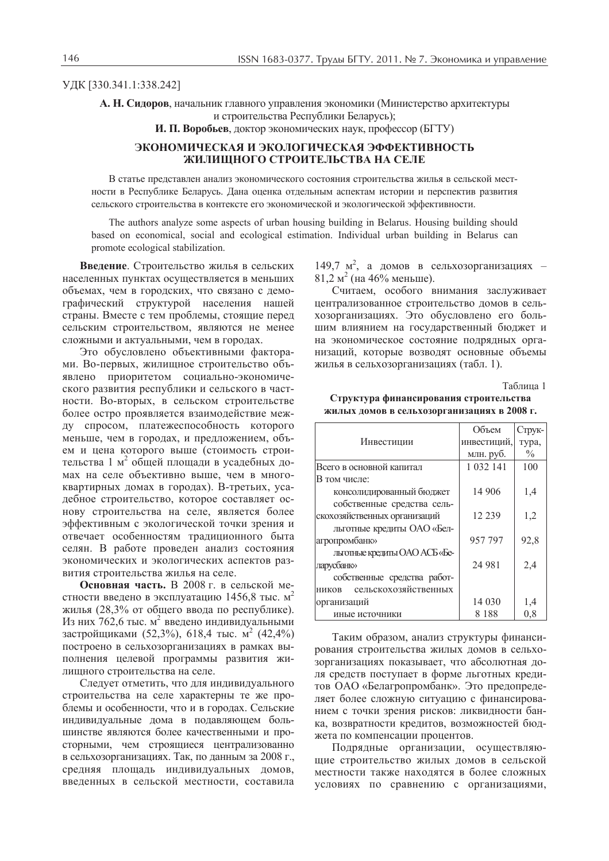## УЛК [330.341.1:338.242]

## А. Н. Сидоров, начальник главного управления экономики (Министерство архитектуры

и строительства Республики Беларусь);

**И. П. Воробьев**, доктор экономических наук, профессор (БГТУ)

## ЭКОНОМИЧЕСКАЯ И ЭКОЛОГИЧЕСКАЯ ЭФФЕКТИВНОСТЬ ЖИЛИЩНОГО СТРОИТЕЛЬСТВА НА СЕЛЕ

В статье представлен анализ экономического состояния строительства жилья в сельской местности в Республике Беларусь. Дана оценка отдельным аспектам истории и перспектив развития сельского строительства в контексте его экономической и экологической эффективности.

The authors analyze some aspects of urban housing building in Belarus. Housing building should based on economical, social and ecological estimation. Individual urban building in Belarus can promote ecological stabilization.

Введение. Строительство жилья в сельских населенных пунктах осуществляется в меньших объемах, чем в городских, что связано с демографический структурой населения нашей страны. Вместе с тем проблемы, стоящие перед сельским строительством, являются не менее сложными и актуальными, чем в городах.

Это обусловлено объективными факторами. Во-первых, жилищное строительство объявлено приоритетом социально-экономического развития республики и сельского в частности. Во-вторых, в сельском строительстве более остро проявляется взаимодействие между спросом, платежеспособность которого меньше, чем в городах, и предложением, объем и цена которого выше (стоимость строительства 1 м<sup>2</sup> общей площади в усадебных домах на селе объективно выше, чем в многоквартирных домах в городах). В-третьих, усадебное строительство, которое составляет основу строительства на селе, является более эффективным с экологической точки зрения и отвечает особенностям традиционного быта селян. В работе проведен анализ состояния экономических и экологических аспектов развития строительства жилья на селе.

Основная часть. В 2008 г. в сельской местности введено в эксплуатацию 1456,8 тыс.  $\text{m}^2$ жилья (28,3% от общего ввода по республике). Из них 762,6 тыс. м<sup>2</sup> введено индивидуальными застройщиками (52,3%), 618,4 тыс. м<sup>2</sup> (42,4%) построено в сельхозорганизациях в рамках выполнения целевой программы развития жилищного строительства на селе.

Следует отметить, что для индивидуального строительства на селе характерны те же проблемы и особенности, что и в городах. Сельские индивидуальные дома в подавляющем большинстве являются более качественными и просторными, чем строящиеся централизованно в сельхозорганизациях. Так, по данным за 2008 г., средняя площадь индивидуальных домов, введенных в сельской местности, составила

149,7  $\mathbf{M}^2$ , а домов в сельхозорганизациях - $81,2 \text{ м}^2$  (на 46% меньше).

Считаем, особого внимания заслуживает централизованное строительство домов в сельхозорганизациях. Это обусловлено его большим влиянием на государственный бюджет и на экономическое состояние подрядных организаций, которые возводят основные объемы жилья в сельхозорганизациях (табл. 1).

Таблица 1

Структура финансирования строительства ЖИЛЫХ ДОМОВ В СЕЛЬХОЗОРГАНИЗАЦИЯХ В 2008 Г.

|                               | Объем         | -трук         |
|-------------------------------|---------------|---------------|
| Инвестиции                    | инвестиций.   | тура,         |
|                               | млн. руб.     | $\frac{0}{0}$ |
| Всего в основной капитал      | 1 0 3 2 1 4 1 | 100           |
| В том числе:                  |               |               |
| консолидированный бюджет      | 14 906        | 1,4           |
| собственные средства сель-    |               |               |
| скохозяйственных организаций  | 12 239        | 1,2           |
| льготные кредиты ОАО «Бел-    |               |               |
| агропромбанк»                 | 957 797       | 92,8          |
| льготные кредиты ОАО АСБ «Бе- |               |               |
| ларусбанк»                    | 24 981        | 2,4           |
| собственные средства работ-   |               |               |
| сельскохозяйственных<br>НИКОВ |               |               |
| организаций                   | 14 030        | 1,4           |
| иные источники                | 8 188         | 0.8           |

Таким образом, анализ структуры финансирования строительства жилых домов в сельхозорганизациях показывает, что абсолютная доля средств поступает в форме льготных кредитов ОАО «Белагропромбанк». Это предопределяет более сложную ситуацию с финансированием с точки зрения рисков: ликвидности банка, возвратности кредитов, возможностей бюджета по компенсации процентов.

Подрядные организации, осуществляющие строительство жилых домов в сельской местности также находятся в более сложных условиях по сравнению с организациями,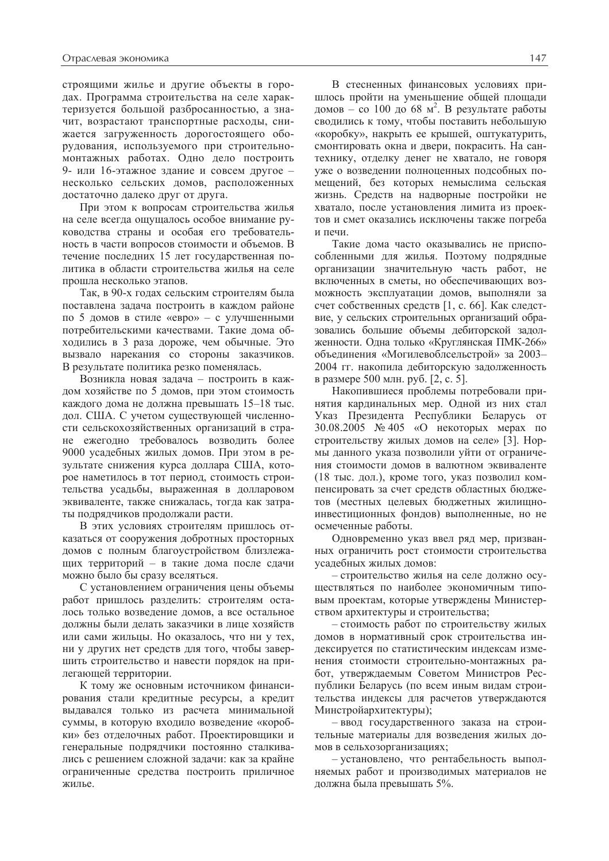строящими жилье и другие объекты в городах. Программа строительства на селе характеризуется большой разбросанностью, а значит, возрастают транспортные расходы, снижается загруженность дорогостоящего оборудования, используемого при строительномонтажных работах. Одно дело построить 9- или 16-этажное здание и совсем другое – несколько сельских домов, расположенных достаточно далеко друг от друга.

При этом к вопросам строительства жилья на селе всегда ощущалось особое внимание руководства страны и особая его требовательность в части вопросов стоимости и объемов. В течение последних 15 лет государственная политика в области строительства жилья на селе прошла несколько этапов.

Так, в 90-х годах сельским строителям была поставлена задача построить в каждом районе по 5 домов в стиле «евро» – с улучшенными потребительскими качествами. Такие дома обходились в 3 раза дороже, чем обычные. Это вызвало нарекания со стороны заказчиков. В результате политика резко поменялась.

Возникла новая задача – построить в каждом хозяйстве по 5 домов, при этом стоимость каждого дома не должна превышать 15–18 тыс. дол. США. С учетом существующей численности сельскохозяйственных организаций в стране ежегодно требовалось возводить более 9000 усадебных жилых домов. При этом в результате снижения курса доллара США, которое наметилось в тот период, стоимость строительства усадьбы, выраженная в долларовом эквиваленте, также снижалась, тогда как затраты подрядчиков продолжали расти.

В этих условиях строителям пришлось отказаться от сооружения добротных просторных домов с полным благоустройством близлежащих территорий – в такие дома после сдачи можно было бы сразу вселяться.

С установлением ограничения цены объемы работ пришлось разделить: строителям осталось только возведение домов, а все остальное должны были делать заказчики в лице хозяйств или сами жильцы. Но оказалось, что ни у тех, ни у других нет средств для того, чтобы завершить строительство и навести порядок на прилегающей территории.

К тому же основным источником финансирования стали кредитные ресурсы, а кредит выдавался только из расчета минимальной суммы, в которую входило возведение «коробки» без отделочных работ. Проектировщики и генеральные подрядчики постоянно сталкивались с решением сложной задачи: как за крайне ограниченные средства построить приличное жилье.

В стесненных финансовых условиях пришлось пройти на уменьшение общей площади домов – со 100 до 68 м<sup>2</sup>. В результате работы сводились к тому, чтобы поставить небольшую «коробку», накрыть ее крышей, оштукатурить, смонтировать окна и двери, покрасить. На сантехнику, отделку денег не хватало, не говоря уже о возведении полноценных подсобных помещений, без которых немыслима сельская жизнь. Средств на надворные постройки не хватало, после установления лимита из проектов и смет оказались исключены также погреба и печи

Такие дома часто оказывались не приспособленными для жилья. Поэтому подрядные организации значительную часть работ, не включенных в сметы, но обеспечивающих возможность эксплуатации домов, выполняли за счет собственных средств [1, с. 66]. Как следствие, у сельских строительных организаций образовались большие объемы дебиторской задолженности. Одна только «Круглянская ПМК-266» объединения «Могилевоблсельстрой» за 2003– 2004 гг. накопила дебиторскую задолженность в размере 500 млн. руб. [2, с. 5].

Накопившиеся проблемы потребовали принятия кардинальных мер. Одной из них стал Указ Президента Республики Беларусь от 30.08.2005 № 405 «О некоторых мерах по строительству жилых домов на селе» [3]. Нормы данного указа позволили уйти от ограничения стоимости домов в валютном эквиваленте (18 тыс. дол.), кроме того, указ позволил компенсировать за счет средств областных бюджетов (местных целевых бюджетных жилищноинвестиционных фондов) выполненные, но не осмеченные работы.

Одновременно указ ввел ряд мер, призванных ограничить рост стоимости строительства усадебных жилых домов:

- строительство жилья на селе должно осуществляться по наиболее экономичным типовым проектам, которые утверждены Министерством архитектуры и строительства;

– стоимость работ по строительству жилых домов в нормативный срок строительства индексируется по статистическим индексам изменения стоимости строительно-монтажных работ, утверждаемым Советом Министров Республики Беларусь (по всем иным видам строительства индексы для расчетов утверждаются Минстройархитектуры);

- ввод государственного заказа на строительные материалы для возведения жилых домов в сельхозорганизациях;

- установлено, что рентабельность выполняемых работ и производимых материалов не должна была превышать 5%.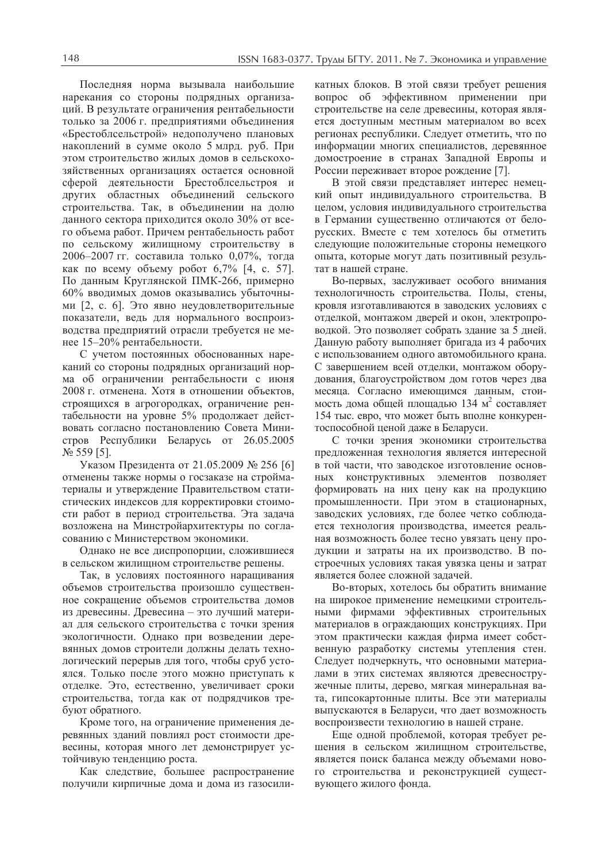Последняя норма вызывала наибольшие нарекания со стороны подрядных организаций. В результате ограничения рентабельности только за 2006 г. предприятиями объединения «Брестоблсельстрой» недополучено плановых накоплений в сумме около 5 млрд. руб. При этом строительство жилых домов в сельскохозяйственных организациях остается основной сферой деятельности Брестоблсельстроя и других областных объединений сельского строительства. Так, в объединении на долю данного сектора приходится около 30% от всего объема работ. Причем рентабельность работ по сельскому жилищному строительству в 2006–2007 гг. составила только 0,07%, тогда как по всему объему робот 6,7% [4, с. 57]. По данным Круглянской ПМК-266, примерно 60% вводимых домов оказывались убыточными [2, с. 6]. Это явно неудовлетворительные показатели, ведь для нормального воспроизводства предприятий отрасли требуется не менее 15–20% рентабельности.

С учетом постоянных обоснованных нареканий со стороны подрядных организаций норма об ограничении рентабельности с июня 2008 г. отменена. Хотя в отношении объектов, строящихся в агрогородках, ограничение рентабельности на уровне 5% продолжает действовать согласно постановлению Совета Министров Республики Беларусь от 26.05.2005  $N<sub>2</sub>$  559 [5].

Указом Президента от 21.05.2009 № 256 [6] отменены также нормы о госзаказе на стройматериалы и утверждение Правительством статистических индексов для корректировки стоимости работ в период строительства. Эта задача возложена на Минстройархитектуры по согласованию с Министерством экономики.

Однако не все диспропорции, сложившиеся в сельском жилищном строительстве решены.

Так, в условиях постоянного наращивания объемов строительства произошло существенное сокращение объемов строительства домов из древесины. Древесина – это лучший материал для сельского строительства с точки зрения экологичности. Однако при возведении деревянных домов строители должны делать технологический перерыв для того, чтобы сруб устоялся. Только после этого можно приступать к отделке. Это, естественно, увеличивает сроки строительства, тогда как от подрядчиков требуют обратного.

Кроме того, на ограничение применения деревянных зданий повлиял рост стоимости древесины, которая много лет демонстрирует устойчивую тенденцию роста.

Как следствие, большее распространение получили кирпичные дома и дома из газосиликатных блоков. В этой связи требует решения вопрос об эффективном применении при строительстве на селе древесины, которая является доступным местным материалом во всех регионах республики. Следует отметить, что по информации многих специалистов, деревянное домостроение в странах Западной Европы и России переживает второе рождение [7].

В этой связи представляет интерес немецкий опыт индивидуального строительства. В целом, условия индивидуального строительства в Германии существенно отличаются от белорусских. Вместе с тем хотелось бы отметить следующие положительные стороны немецкого опыта, которые могут дать позитивный результат в нашей стране.

Во-первых, заслуживает особого внимания технологичность строительства. Полы, стены, кровля изготавливаются в заводских условиях с отделкой, монтажом дверей и окон, электропроводкой. Это позволяет собрать здание за 5 дней. Данную работу выполняет бригада из 4 рабочих с использованием одного автомобильного крана. С завершением всей отделки, монтажом оборудования, благоустройством дом готов через два месяца. Согласно имеющимся данным, стоимость дома общей площадью 134  $\mu^2$  составляет 154 тыс. евро. что может быть вполне конкурентоспособной ценой даже в Беларуси.

С точки зрения экономики строительства предложенная технология является интересной в той части, что заводское изготовление основных конструктивных элементов позволяет формировать на них цену как на продукцию промышленности. При этом в стационарных, заводских условиях, где более четко соблюдается технология производства, имеется реальная возможность более тесно увязать цену продукции и затраты на их производство. В построечных условиях такая увязка цены и затрат является более сложной задачей.

Во-вторых, хотелось бы обратить внимание на широкое применение немецкими строительными фирмами эффективных строительных материалов в ограждающих конструкциях. При этом практически каждая фирма имеет собственную разработку системы утепления стен. Следует подчеркнуть, что основными материалами в этих системах являются древесностружечные плиты, дерево, мягкая минеральная вата, гипсокартонные плиты. Все эти материалы выпускаются в Беларуси, что дает возможность воспроизвести технологию в нашей стране.

Еще одной проблемой, которая требует решения в сельском жилищном строительстве, является поиск баланса между объемами нового строительства и реконструкцией существующего жилого фонда.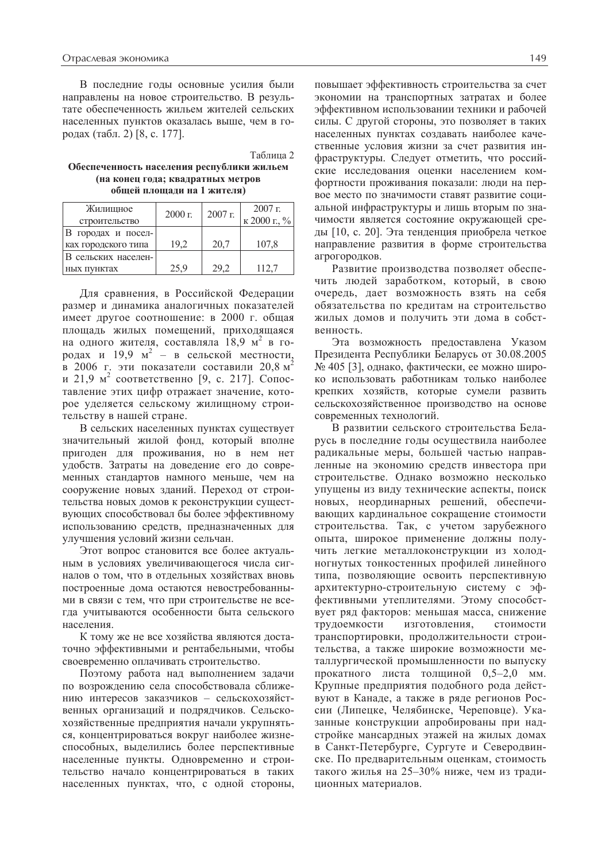В последние годы основные усилия были направлены на новое строительство. В результате обеспеченность жильем жителей сельских населенных пунктов оказалась выше, чем в городах (табл. 2) [8, с. 177].

| Таблица 2                                  |
|--------------------------------------------|
| Обеспеченность населения республики жильем |
| (на конец года; квадратных метров          |
| общей площади на 1 жителя)                 |

| Жилищное<br>строительство                 | $2000 \text{ r}$ | $2007$ r. | $2007$ r.<br>к 2000 г., % |
|-------------------------------------------|------------------|-----------|---------------------------|
| В городах и посел-<br>ках городского типа | 19,2             | 20,7      | 107,8                     |
| В сельских населен-<br>ных пунктах        | 25.9             | 29 2      | 112.7                     |

Для сравнения, в Российской Федерации размер и динамика аналогичных показателей имеет другое соотношение: в 2000 г. общая площадь жилых помещений, приходящаяся на одного жителя, составляла 18,9 м<sup>2</sup> в городах и 19,9  $\mu^2$  – в сельской местности, в 2006 г. эти показатели составили 20,8  $\mu^2$ и 21,9 м<sup>2</sup> соответственно [9, с. 217]. Сопоставление этих цифр отражает значение, которое уделяется сельскому жилищному строительству в нашей стране.

В сельских населенных пунктах существует значительный жилой фонд, который вполне пригоден для проживания, но в нем нет удобств. Затраты на доведение его до современных стандартов намного меньше, чем на сооружение новых зданий. Переход от строительства новых домов к реконструкции существующих способствовал бы более эффективному использованию средств, предназначенных для улучшения условий жизни сельчан.

Этот вопрос становится все более актуальным в условиях увеличивающегося числа сигналов о том, что в отдельных хозяйствах вновь построенные дома остаются невостребованными в связи с тем, что при строительстве не всегда учитываются особенности быта сельского населения

К тому же не все хозяйства являются достаточно эффективными и рентабельными, чтобы своевременно оплачивать строительство.

Поэтому работа над выполнением задачи по возрождению села способствовала сближению интересов заказчиков – сельскохозяйственных организаций и подрядчиков. Сельскохозяйственные предприятия начали укрупняться, концентрироваться вокруг наиболее жизнеспособных, выделились более перспективные населенные пункты. Одновременно и строительство начало концентрироваться в таких населенных пунктах, что, с одной стороны,

повышает эффективность строительства за счет экономии на транспортных затратах и более эффективном использовании техники и рабочей силы. С другой стороны, это позволяет в таких населенных пунктах создавать наиболее качественные условия жизни за счет развития инфраструктуры. Следует отметить, что российские исследования оценки населением комфортности проживания показали: люди на первое место по значимости ставят развитие социальной инфраструктуры и лишь вторым по значимости является состояние окружающей среды [10, с. 20]. Эта тенденция приобрела четкое направление развития в форме строительства агрогородков.

Развитие производства позволяет обеспечить людей заработком, который, в свою очередь, дает возможность взять на себя обязательства по кредитам на строительство жилых домов и получить эти дома в собственность.

Эта возможность предоставлена Указом Президента Республики Беларусь от 30.08.2005 № 405 [3], однако, фактически, ее можно широко использовать работникам только наиболее крепких хозяйств, которые сумели развить сельскохозяйственное производство на основе современных технологий.

В развитии сельского строительства Беларусь в последние годы осуществила наиболее радикальные меры, большей частью направленные на экономию средств инвестора при строительстве. Однако возможно несколько упущены из виду технические аспекты, поиск новых, неординарных решений, обеспечивающих кардинальное сокращение стоимости строительства. Так, с учетом зарубежного опыта, широкое применение должны получить легкие металлоконструкции из холодногнутых тонкостенных профилей линейного типа, позволяющие освоить перспективную архитектурно-строительную систему с эффективными утеплителями. Этому способствует ряд факторов: меньшая масса, снижение трудоемкости изготовления, стоимости транспортировки, продолжительности строительства, а также широкие возможности металлургической промышленности по выпуску прокатного листа толщиной 0,5–2,0 мм. Крупные предприятия подобного рода действуют в Канаде, а также в ряде регионов России (Липецке, Челябинске, Череповце). Указанные конструкции апробированы при надстройке мансардных этажей на жилых домах в Санкт-Петербурге, Сургуте и Северодвинске. По предварительным оценкам, стоимость такого жилья на 25–30% ниже, чем из традиционных материалов.